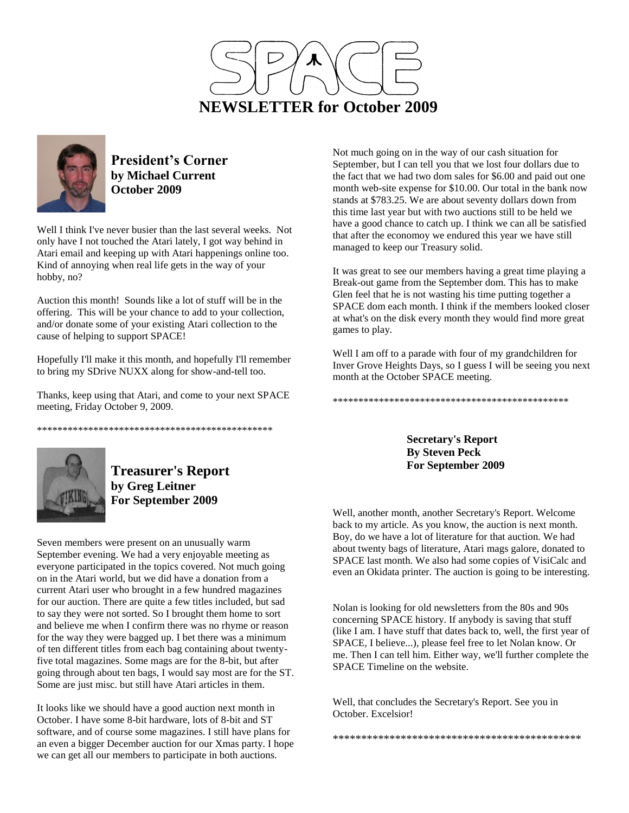



**President's Corner by Michael Current October 2009**

Well I think I've never busier than the last several weeks. Not only have I not touched the Atari lately, I got way behind in Atari email and keeping up with Atari happenings online too. Kind of annoying when real life gets in the way of your hobby, no?

Auction this month! Sounds like a lot of stuff will be in the offering. This will be your chance to add to your collection, and/or donate some of your existing Atari collection to the cause of helping to support SPACE!

Hopefully I'll make it this month, and hopefully I'll remember to bring my SDrive NUXX along for show-and-tell too.

Thanks, keep using that Atari, and come to your next SPACE meeting, Friday October 9, 2009.

\*\*\*\*\*\*\*\*\*\*\*\*\*\*\*\*\*\*\*\*\*\*\*\*\*\*\*\*\*\*\*\*\*\*\*\*\*\*\*\*\*\*\*\*\*\*



**Treasurer's Report by Greg Leitner For September 2009**

Seven members were present on an unusually warm September evening. We had a very enjoyable meeting as everyone participated in the topics covered. Not much going on in the Atari world, but we did have a donation from a current Atari user who brought in a few hundred magazines for our auction. There are quite a few titles included, but sad to say they were not sorted. So I brought them home to sort and believe me when I confirm there was no rhyme or reason for the way they were bagged up. I bet there was a minimum of ten different titles from each bag containing about twentyfive total magazines. Some mags are for the 8-bit, but after going through about ten bags, I would say most are for the ST. Some are just misc. but still have Atari articles in them.

It looks like we should have a good auction next month in October. I have some 8-bit hardware, lots of 8-bit and ST software, and of course some magazines. I still have plans for an even a bigger December auction for our Xmas party. I hope we can get all our members to participate in both auctions.

Not much going on in the way of our cash situation for September, but I can tell you that we lost four dollars due to the fact that we had two dom sales for \$6.00 and paid out one month web-site expense for \$10.00. Our total in the bank now stands at \$783.25. We are about seventy dollars down from this time last year but with two auctions still to be held we have a good chance to catch up. I think we can all be satisfied that after the economoy we endured this year we have still managed to keep our Treasury solid.

It was great to see our members having a great time playing a Break-out game from the September dom. This has to make Glen feel that he is not wasting his time putting together a SPACE dom each month. I think if the members looked closer at what's on the disk every month they would find more great games to play.

Well I am off to a parade with four of my grandchildren for Inver Grove Heights Days, so I guess I will be seeing you next month at the October SPACE meeting.

\*\*\*\*\*\*\*\*\*\*\*\*\*\*\*\*\*\*\*\*\*\*\*\*\*\*\*\*\*\*\*\*\*\*\*\*\*\*\*\*\*\*\*\*\*\*

**Secretary's Report By Steven Peck For September 2009**

Well, another month, another Secretary's Report. Welcome back to my article. As you know, the auction is next month. Boy, do we have a lot of literature for that auction. We had about twenty bags of literature, Atari mags galore, donated to SPACE last month. We also had some copies of VisiCalc and even an Okidata printer. The auction is going to be interesting.

Nolan is looking for old newsletters from the 80s and 90s concerning SPACE history. If anybody is saving that stuff (like I am. I have stuff that dates back to, well, the first year of SPACE, I believe...), please feel free to let Nolan know. Or me. Then I can tell him. Either way, we'll further complete the SPACE Timeline on the website.

Well, that concludes the Secretary's Report. See you in October. Excelsior!

\*\*\*\*\*\*\*\*\*\*\*\*\*\*\*\*\*\*\*\*\*\*\*\*\*\*\*\*\*\*\*\*\*\*\*\*\*\*\*\*\*\*\*\*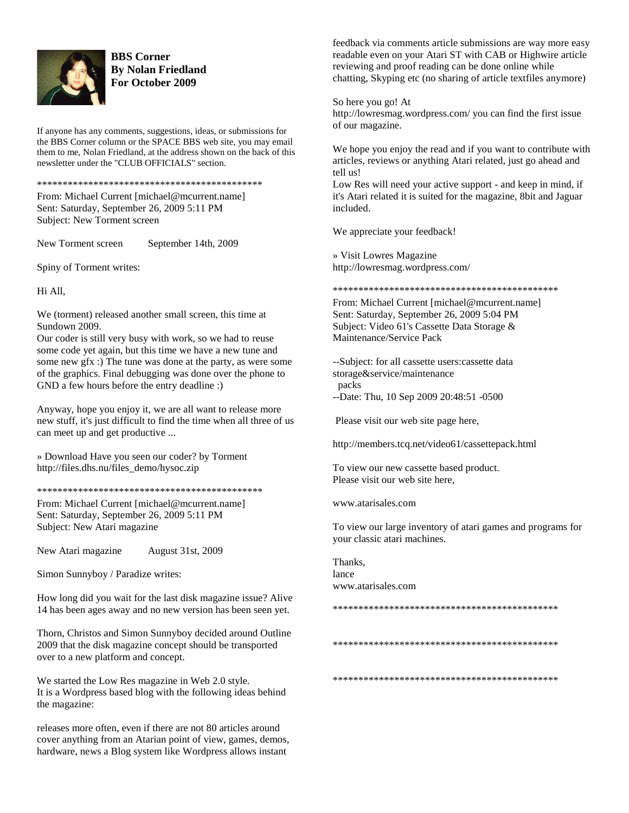

#### **BBS Corner By Nolan Friedland For October 2009**

If anyone has any comments, suggestions, ideas, or submissions for the BBS Corner column or the SPACE BBS web site, you may email them to me, Nolan Friedland, at the address shown on the back of this newsletter under the "CLUB OFFICIALS" section.

\*\*\*\*\*\*\*\*\*\*\*\*\*\*\*\*\*\*\*\*\*\*\*\*\*\*\*\*\*\*\*\*\*\*\*\*\*\*\*\*\*\*\*\*

From: Michael Current [michael@mcurrent.name] Sent: Saturday, September 26, 2009 5:11 PM Subject: New Torment screen

New Torment screen September 14th, 2009

Spiny of Torment writes:

Hi All,

We (torment) released another small screen, this time at Sundown 2009.

Our coder is still very busy with work, so we had to reuse some code yet again, but this time we have a new tune and some new gfx :) The tune was done at the party, as were some of the graphics. Final debugging was done over the phone to GND a few hours before the entry deadline :)

Anyway, hope you enjoy it, we are all want to release more new stuff, it's just difficult to find the time when all three of us can meet up and get productive ...

» Download Have you seen our coder? by Torment http://files.dhs.nu/files\_demo/hysoc.zip

\*\*\*\*\*\*\*\*\*\*\*\*\*\*\*\*\*\*\*\*\*\*\*\*\*\*\*\*\*\*\*\*\*\*\*\*\*\*\*\*\*\*\*\*

From: Michael Current [michael@mcurrent.name] Sent: Saturday, September 26, 2009 5:11 PM Subject: New Atari magazine

New Atari magazine August 31st, 2009

Simon Sunnyboy / Paradize writes:

How long did you wait for the last disk magazine issue? Alive 14 has been ages away and no new version has been seen yet.

Thorn, Christos and Simon Sunnyboy decided around Outline 2009 that the disk magazine concept should be transported over to a new platform and concept.

We started the Low Res magazine in Web 2.0 style. It is a Wordpress based blog with the following ideas behind the magazine:

releases more often, even if there are not 80 articles around cover anything from an Atarian point of view, games, demos, hardware, news a Blog system like Wordpress allows instant

feedback via comments article submissions are way more easy readable even on your Atari ST with CAB or Highwire article reviewing and proof reading can be done online while chatting, Skyping etc (no sharing of article textfiles anymore)

So here you go! At

http://lowresmag.wordpress.com/ you can find the first issue of our magazine.

We hope you enjoy the read and if you want to contribute with articles, reviews or anything Atari related, just go ahead and tell us!

Low Res will need your active support - and keep in mind, if it's Atari related it is suited for the magazine, 8bit and Jaguar included.

We appreciate your feedback!

» Visit Lowres Magazine http://lowresmag.wordpress.com/

\*\*\*\*\*\*\*\*\*\*\*\*\*\*\*\*\*\*\*\*\*\*\*\*\*\*\*\*\*\*\*\*\*\*\*\*\*\*\*\*\*\*\*\*

From: Michael Current [michael@mcurrent.name] Sent: Saturday, September 26, 2009 5:04 PM Subject: Video 61's Cassette Data Storage & Maintenance/Service Pack

--Subject: for all cassette users:cassette data storage&service/maintenance packs

--Date: Thu, 10 Sep 2009 20:48:51 -0500

Please visit our web site page here,

http://members.tcq.net/video61/cassettepack.html

To view our new cassette based product. Please visit our web site here,

www.atarisales.com

To view our large inventory of atari games and programs for your classic atari machines.

Thanks, lance www.atarisales.com

\*\*\*\*\*\*\*\*\*\*\*\*\*\*\*\*\*\*\*\*\*\*\*\*\*\*\*\*\*\*\*\*\*\*\*\*\*\*\*\*\*\*\*\*

\*\*\*\*\*\*\*\*\*\*\*\*\*\*\*\*\*\*\*\*\*\*\*\*\*\*\*\*\*\*\*\*\*\*\*\*\*\*\*\*\*\*\*\*

\*\*\*\*\*\*\*\*\*\*\*\*\*\*\*\*\*\*\*\*\*\*\*\*\*\*\*\*\*\*\*\*\*\*\*\*\*\*\*\*\*\*\*\*